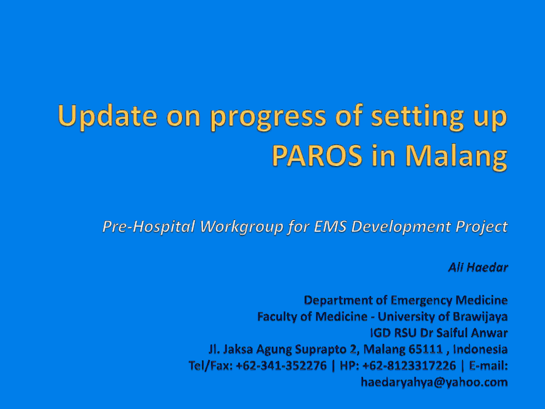# Update on progress of setting up **PAROS in Malang**

**Pre-Hospital Workgroup for EMS Development Project** 

### Ali Haedar

**Department of Emergency Medicine Faculty of Medicine - University of Brawijaya IGD RSU Dr Saiful Anwar** Jl. Jaksa Agung Suprapto 2, Malang 65111, Indonesia Tel/Fax: +62-341-352276 | HP: +62-8123317226 | E-mail: haedaryahya@yahoo.com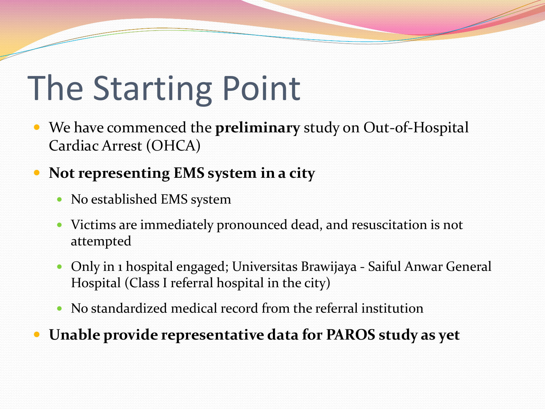# The Starting Point

- We have commenced the **preliminary** study on Out-of-Hospital Cardiac Arrest (OHCA)
- **Not representing EMS system in a city**
	- No established EMS system
	- Victims are immediately pronounced dead, and resuscitation is not attempted
	- Only in 1 hospital engaged; Universitas Brawijaya Saiful Anwar General Hospital (Class I referral hospital in the city)
	- No standardized medical record from the referral institution

**Unable provide representative data for PAROS study as yet**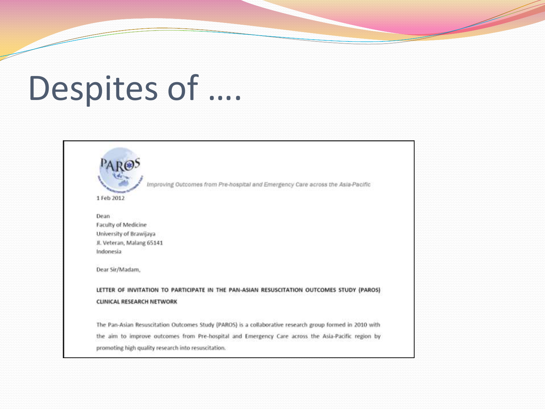# Despites of ....



Improving Outcomes from Pre-hospital and Emergency Care across the Asia-Pacific

1 Feb 2012

Dean Faculty of Medicine University of Brawijaya Jl. Veteran, Malang 65141 Indonesia

Dear Sir/Madam,

LETTER OF INVITATION TO PARTICIPATE IN THE PAN-ASIAN RESUSCITATION OUTCOMES STUDY (PAROS) **CLINICAL RESEARCH NETWORK** 

The Pan-Asian Resuscitation Outcomes Study (PAROS) is a collaborative research group formed in 2010 with the aim to improve outcomes from Pre-hospital and Emergency Care across the Asia-Pacific region by promoting high quality research into resuscitation.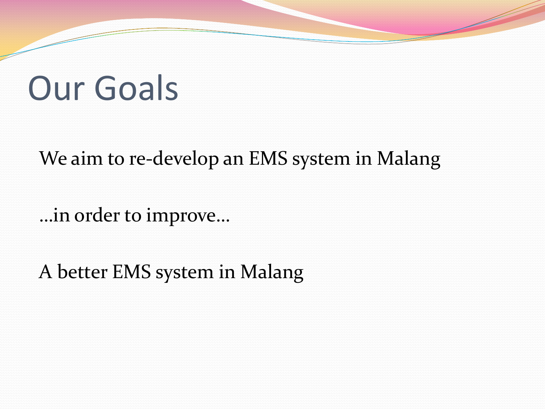# Our Goals

We aim to re-develop an EMS system in Malang

…in order to improve…

A better EMS system in Malang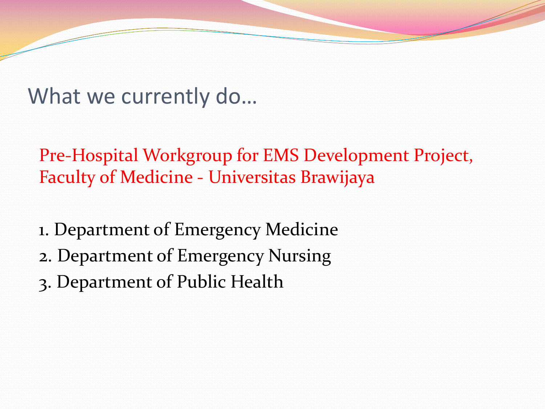What we currently do…

Pre-Hospital Workgroup for EMS Development Project, Faculty of Medicine - Universitas Brawijaya

- 1. Department of Emergency Medicine
- 2. Department of Emergency Nursing
- 3. Department of Public Health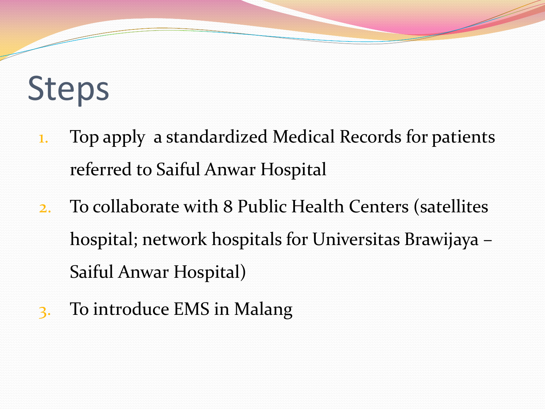# Steps

- 1. Top apply a standardized Medical Records for patients referred to Saiful Anwar Hospital
- 2. To collaborate with 8 Public Health Centers (satellites hospital; network hospitals for Universitas Brawijaya – Saiful Anwar Hospital)
- 3. To introduce EMS in Malang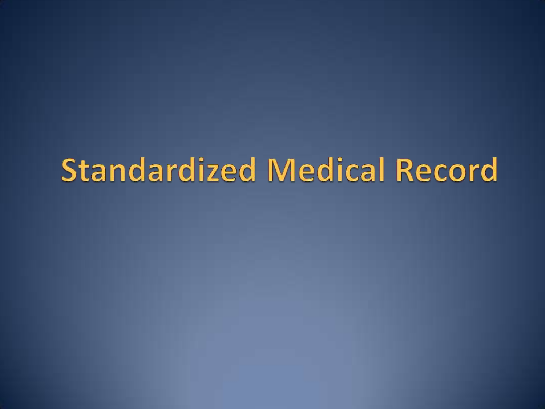# **Standardized Medical Record**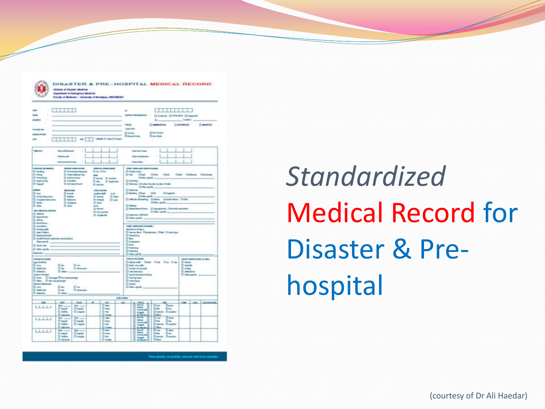| <b>AME</b><br><b>ALCOHOL:</b>                                                                                                                                                                                                                                                                                                                                                                                                                                                                                                                                                                                                                                                                                                                                                                                                                                         |                                                                                   |                                  |   |                              |                             | to prestice exhibition from<br>[] hydered 420mm/dots [] (traveled<br><b>Links of</b><br><b><i><u><i><u><b>Distants</b></u></i></u></i></b>                                                                                                                                                                                                                                                                                                    |                                                      |                |                                                                                                         |                    |  |
|-----------------------------------------------------------------------------------------------------------------------------------------------------------------------------------------------------------------------------------------------------------------------------------------------------------------------------------------------------------------------------------------------------------------------------------------------------------------------------------------------------------------------------------------------------------------------------------------------------------------------------------------------------------------------------------------------------------------------------------------------------------------------------------------------------------------------------------------------------------------------|-----------------------------------------------------------------------------------|----------------------------------|---|------------------------------|-----------------------------|-----------------------------------------------------------------------------------------------------------------------------------------------------------------------------------------------------------------------------------------------------------------------------------------------------------------------------------------------------------------------------------------------------------------------------------------------|------------------------------------------------------|----------------|---------------------------------------------------------------------------------------------------------|--------------------|--|
| Frechet verz<br>MINISTERS<br><b>His</b>                                                                                                                                                                                                                                                                                                                                                                                                                                                                                                                                                                                                                                                                                                                                                                                                                               |                                                                                   | $-1$                             |   | Lauran (2 mm 13 foods)       | TRANSFIELD<br><b>U</b> here | cars then<br><b><i><u><i><u>Distance</u></i></u></i></b>                                                                                                                                                                                                                                                                                                                                                                                      | () resementions<br><b>Chechium</b><br><b>Charles</b> | <b>COMMERC</b> |                                                                                                         | (I wais art)       |  |
| <b>THE STA</b>                                                                                                                                                                                                                                                                                                                                                                                                                                                                                                                                                                                                                                                                                                                                                                                                                                                        | <b>The Co<sup>l</sup> Service</b><br><b>Bearings</b><br><b>See joined at long</b> | v<br>k<br>٠                      |   |                              |                             | <b>Teaching State</b><br><b>These of New York and Inc.</b><br><b>Small</b> Box                                                                                                                                                                                                                                                                                                                                                                | ٠<br>٠                                               |                |                                                                                                         |                    |  |
| <b>ESPECIAL DEALERS</b><br><b><i>COMPANY OF BAY BANKS</i></b><br><b>MONEY SURFLIGHT</b><br>D today<br>I sylvenerhund<br>II to II no<br>1 Parent Mount List<br>(I say<br>$\frac{1}{2}$<br>C Personal by<br>Il Galletien<br>O bond C books<br>D Salestang<br>D (another)<br>D No D National<br><b>Distance</b><br>I tichantinal<br>Ci danama<br><b>STATE</b><br><b><i><u>ENFINANCE</u></i></b><br><b>BROWNER</b><br>$0 - \omega$<br>T more<br><b>Capital</b> and C<br>And I<br><b>C</b> Humai Hamarine<br><b>IT shakes</b><br><b>C</b> turns<br>El ment<br>C couples/data area<br><b>Common</b><br>G helged<br>El calc<br>D teste<br><b>II</b> ferryway<br>D team<br>$0 =$<br>11 issue<br><b>bulue</b><br><b>C Norwic</b><br><b><i>BURNARY</i></b><br><b>C</b> hai poted<br>D Halene<br><b>City Avenue</b><br><b>Ci Hannoviche</b><br><b>II</b> salve<br>C forefision : |                                                                                   |                                  |   |                              |                             | DISP TRANSAST SAID TRIANG<br><b>CI Gardian Arrival</b><br>Other Ond Ond Oklass Okassa<br>El Mai Original<br>Online aparts<br><b>CLANSING</b><br>2 Notes Challen books broket today<br>Children army for<br><b>Ci marines</b><br>Chiefra Chie CAY<br>Chicane<br>Contactorial<br>Collaborates Osmo Classica Close<br>Chile, and<br>Ci taken:<br>Crime and him Chyrolema Cristole means<br>Distances and L.<br>Chancer (Millet)<br>Distancements |                                                      |                |                                                                                                         |                    |  |
|                                                                                                                                                                                                                                                                                                                                                                                                                                                                                                                                                                                                                                                                                                                                                                                                                                                                       |                                                                                   |                                  |   |                              |                             |                                                                                                                                                                                                                                                                                                                                                                                                                                               |                                                      |                |                                                                                                         |                    |  |
| C Generation<br><b>Company</b><br>C methanic<br>C Sechy busin<br>21-Main and American Automobile 13<br>Distances<br>Distances and con-<br><b>Bulliolan </b>                                                                                                                                                                                                                                                                                                                                                                                                                                                                                                                                                                                                                                                                                                           |                                                                                   |                                  |   |                              |                             | <b>CAR CONSUMITIONS!</b><br><b>Mallaning Strains</b><br>C Awaren<br><b>II</b> then<br>C transier<br><b>GRANT</b><br><b>Disease</b><br><b>Downey</b><br><b>Citate and</b>                                                                                                                                                                                                                                                                      | Chancelor Treatures That Countries                   |                |                                                                                                         |                    |  |
| A book and come<br><b>Tripo di Indichi</b><br>$-$ 11 map<br>D issue<br>24<br><b>D</b> retainsity<br>$0 -$<br>(1 minute)<br>D Adams<br>Division.<br><b><i><u><u>Instance</u></u></i></b><br>5 том П. Аналда Олиппандианци<br>Giller Characterist<br><b>Industrial Address of</b><br>El sus<br>C late<br>$\overline{\Omega}$ that<br><b>C</b> married<br>$11 -$<br><b>El termisto</b><br><b>C</b> material<br>D istu                                                                                                                                                                                                                                                                                                                                                                                                                                                    |                                                                                   |                                  |   |                              |                             | <b>ESPECIAL MOTORING</b><br>Dealersh Deal Dat De Dea<br>Sheriman<br><b>Charles Phone Hill</b><br><b>Diskations</b><br>II see leasted to<br><b>Ci tucing hate</b><br><b>C</b> remotes<br><b>Climate</b><br><b>Claim and</b>                                                                                                                                                                                                                    |                                                      |                | <b>SAUTH UNITS ENTIRE LEASER</b><br><b>Classed</b><br>C Issued<br>D-wmw<br>C selection<br>C site switch |                    |  |
|                                                                                                                                                                                                                                                                                                                                                                                                                                                                                                                                                                                                                                                                                                                                                                                                                                                                       |                                                                                   |                                  |   |                              | <b>STAL MAN</b>             |                                                                                                                                                                                                                                                                                                                                                                                                                                               |                                                      |                |                                                                                                         |                    |  |
|                                                                                                                                                                                                                                                                                                                                                                                                                                                                                                                                                                                                                                                                                                                                                                                                                                                                       | $180^\circ$<br><b>No. 1</b>                                                       | <b>FIAM</b><br><b>Noter car</b>  | ٠ | ALC:<br><b>Died</b><br>D was |                             | <b>Suits</b><br>Spring<br>ğ<br><b><i><u>Printed</u></i></b><br>o<br><b>Commit</b>                                                                                                                                                                                                                                                                                                                                                             | 381<br>Boid<br><b>U</b> most<br>Drei<br>Day          | itar.          | mit.                                                                                                    | <b>Jassich LAR</b> |  |
| 34<br>.                                                                                                                                                                                                                                                                                                                                                                                                                                                                                                                                                                                                                                                                                                                                                                                                                                                               | <b>D</b> marke<br>D myles<br><b>D.Meset</b>                                       | C) tagain<br>D <sub>ringes</sub> |   | Cl tax<br>용분                 |                             | ū<br><b>They're</b><br>ponention<br>녬<br><b>Builder</b>                                                                                                                                                                                                                                                                                                                                                                                       | Disease, Dawake<br>膤<br><b>Common</b>                |                |                                                                                                         |                    |  |

Tors plaints, an plaints, improve with b

*Standardized* Medical Record for Disaster & Prehospital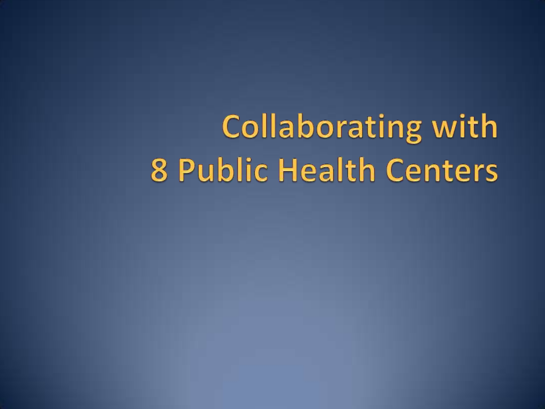# **Collaborating with** 8 Public Health Centers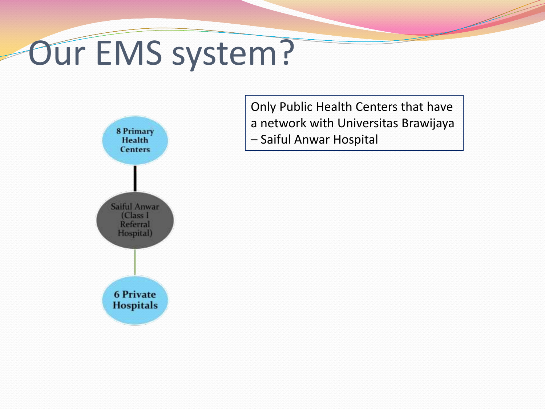# Our EMS system?



Only Public Health Centers that have a network with Universitas Brawijaya – Saiful Anwar Hospital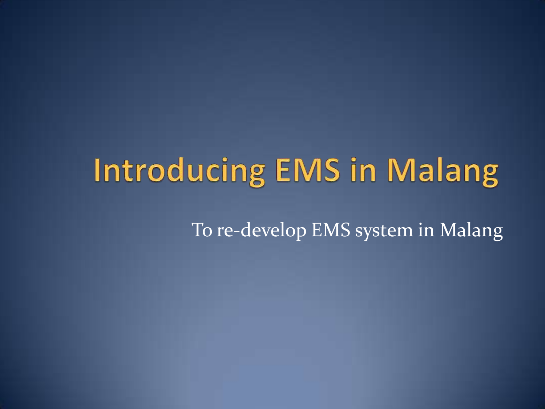# **Introducing EMS in Malang**

To re-develop EMS system in Malang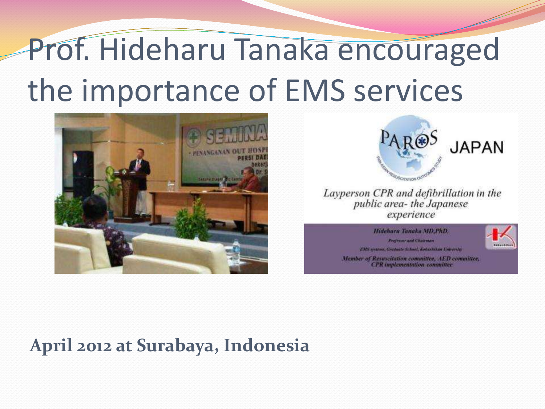# Prof. Hideharu Tanaka encouraged the importance of EMS services





Layperson CPR and defibrillation in the public area-the Japanese experience

Hideharu Tanaka MD,PhD.

Professor and Chairman EMS systems, Graduate School, Kokashikan University Member of Resuscitation committee, AED committee,

**CPR** implementation committee



**April 2012 at Surabaya, Indonesia**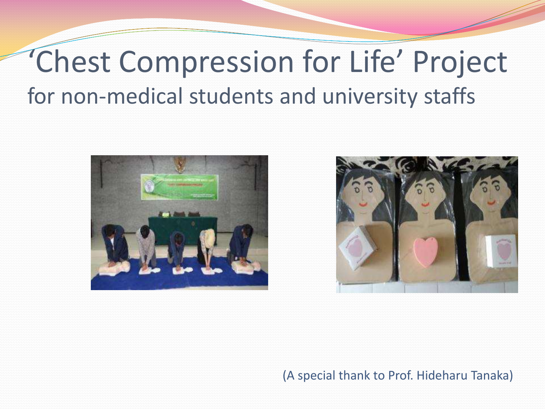## 'Chest Compression for Life' Project for non-medical students and university staffs





(A special thank to Prof. Hideharu Tanaka)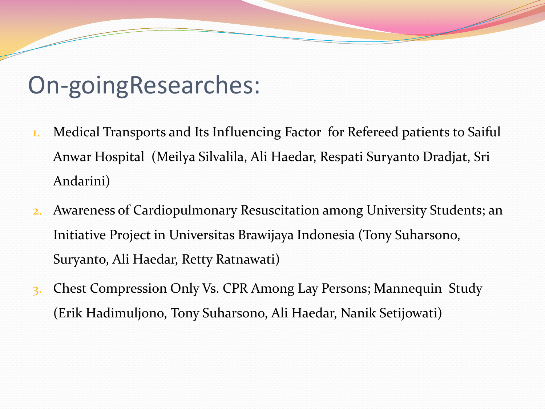### On-goingResearches:

- 1. Medical Transports and Its Influencing Factor for Refereed patients to Saiful Anwar Hospital (Meilya Silvalila, Ali Haedar, Respati Suryanto Dradjat, Sri Andarini)
- 2. Awareness of Cardiopulmonary Resuscitation among University Students; an Initiative Project in Universitas Brawijaya Indonesia (Tony Suharsono, Suryanto, Ali Haedar, Retty Ratnawati)
- 3. Chest Compression Only Vs. CPR Among Lay Persons; Mannequin Study (Erik Hadimuljono, Tony Suharsono, Ali Haedar, Nanik Setijowati)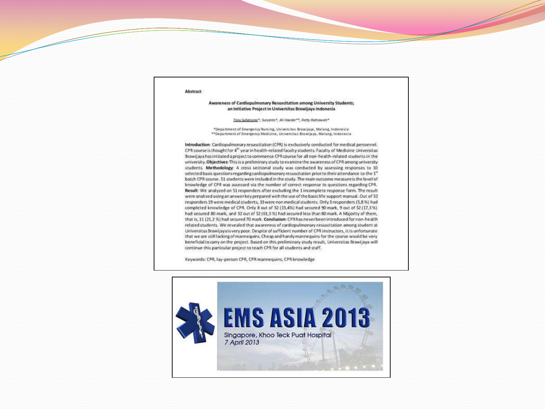### Abstract

### Awareness of Cardiopulmonary Resuscitation among University Students; an Initiative Project in Universitas Brawijaya Indonesia

Tony Suharsono\*, Survanto\*, All Haedar\*\*, Retty Ratnawati\*

\*Department of Emergency Nursing, Universitas Brawljaya, Malang, Indonesia. \*\* Department of Emergency Medicine, Universitas Brawijaya, Malang, Indonesia

Introduction: Cardiopulmonary resuscitation (CPR) is exclusively conducted for medical personnel. CPR course is thought for 4<sup>th</sup> year in health-related faculty students. Faculty of Medicine Universitas Brawijaya has initiated a project to commence CPR course for all non-health-related students in the university. Objectives: This is a preliminary study to examine the awareness of CPR among university students. Methodology: A cross sectional study was conducted by assessing responses to 10 selected basic questions regarding cardiopulmonary resuscitation prior to their attendance to the 1" batch CPR course. 51 students were included in the study. The main outcome measure is the level of knowledge of CPR was assessed via the number of correct response to questions regarding CPR. Result: We analyzed on 51 responders after excluding the 1 incomplete response form. The result were analized using an answerkey prepared with the use of the basic life support manual. Out of 52 responders 19 were medical students, 33 were non medical students. Only 3 responders (5,8%) had completed knowledge of CPR. Only 8 out of 52 (15,4%) had secured 90 mark, 9 out of 52 (17,3%) had secured 80 mark, and 32 out of 52 (61,5 %) had secured less than 80 mark. A Majority of them, that is, 11 (21,2 %) had secured 70 mark. Conclusion: CPR has never been introduced for non-health related students. We revealed that awareness of cardiopulmonary resuscitation among student at Universitas Brawijaya is very poor. Despite of sufficient number of CPR instructors, it is unfortunate that we are still lacking of mannequins. Cheap and handy mannequins for the course would be very beneficial to carry on the project. Based on this preliminary study result, Universitas Brawijaya will continue this particular project to teach CPR for all students and staff.

Keywords: CPR, lay-person CPR, CPR mannequins, CPR knowledge